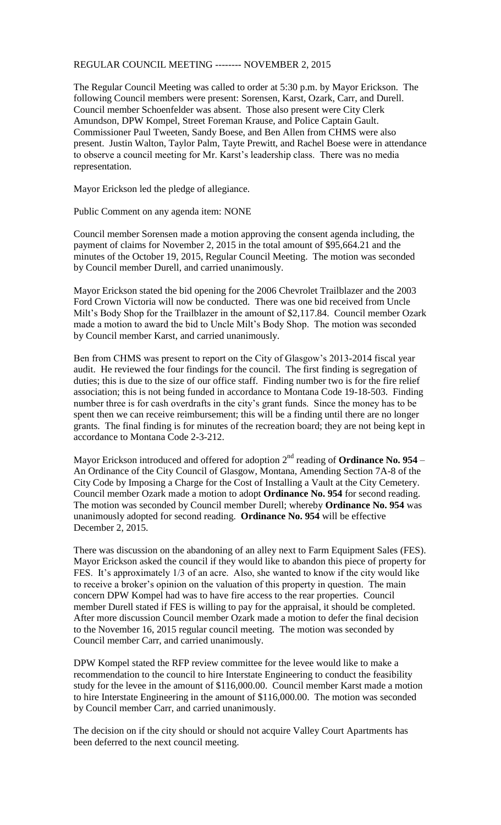## REGULAR COUNCIL MEETING -------- NOVEMBER 2, 2015

The Regular Council Meeting was called to order at 5:30 p.m. by Mayor Erickson. The following Council members were present: Sorensen, Karst, Ozark, Carr, and Durell. Council member Schoenfelder was absent. Those also present were City Clerk Amundson, DPW Kompel, Street Foreman Krause, and Police Captain Gault. Commissioner Paul Tweeten, Sandy Boese, and Ben Allen from CHMS were also present. Justin Walton, Taylor Palm, Tayte Prewitt, and Rachel Boese were in attendance to observe a council meeting for Mr. Karst's leadership class. There was no media representation.

Mayor Erickson led the pledge of allegiance.

Public Comment on any agenda item: NONE

Council member Sorensen made a motion approving the consent agenda including, the payment of claims for November 2, 2015 in the total amount of \$95,664.21 and the minutes of the October 19, 2015, Regular Council Meeting. The motion was seconded by Council member Durell, and carried unanimously.

Mayor Erickson stated the bid opening for the 2006 Chevrolet Trailblazer and the 2003 Ford Crown Victoria will now be conducted. There was one bid received from Uncle Milt's Body Shop for the Trailblazer in the amount of \$2,117.84. Council member Ozark made a motion to award the bid to Uncle Milt's Body Shop. The motion was seconded by Council member Karst, and carried unanimously.

Ben from CHMS was present to report on the City of Glasgow's 2013-2014 fiscal year audit. He reviewed the four findings for the council. The first finding is segregation of duties; this is due to the size of our office staff. Finding number two is for the fire relief association; this is not being funded in accordance to Montana Code 19-18-503. Finding number three is for cash overdrafts in the city's grant funds. Since the money has to be spent then we can receive reimbursement; this will be a finding until there are no longer grants. The final finding is for minutes of the recreation board; they are not being kept in accordance to Montana Code 2-3-212.

Mayor Erickson introduced and offered for adoption  $2<sup>nd</sup>$  reading of **Ordinance No. 954** – An Ordinance of the City Council of Glasgow, Montana, Amending Section 7A-8 of the City Code by Imposing a Charge for the Cost of Installing a Vault at the City Cemetery. Council member Ozark made a motion to adopt **Ordinance No. 954** for second reading. The motion was seconded by Council member Durell; whereby **Ordinance No. 954** was unanimously adopted for second reading. **Ordinance No. 954** will be effective December 2, 2015.

There was discussion on the abandoning of an alley next to Farm Equipment Sales (FES). Mayor Erickson asked the council if they would like to abandon this piece of property for FES. It's approximately 1/3 of an acre. Also, she wanted to know if the city would like to receive a broker's opinion on the valuation of this property in question. The main concern DPW Kompel had was to have fire access to the rear properties. Council member Durell stated if FES is willing to pay for the appraisal, it should be completed. After more discussion Council member Ozark made a motion to defer the final decision to the November 16, 2015 regular council meeting. The motion was seconded by Council member Carr, and carried unanimously.

DPW Kompel stated the RFP review committee for the levee would like to make a recommendation to the council to hire Interstate Engineering to conduct the feasibility study for the levee in the amount of \$116,000.00. Council member Karst made a motion to hire Interstate Engineering in the amount of \$116,000.00. The motion was seconded by Council member Carr, and carried unanimously.

The decision on if the city should or should not acquire Valley Court Apartments has been deferred to the next council meeting.